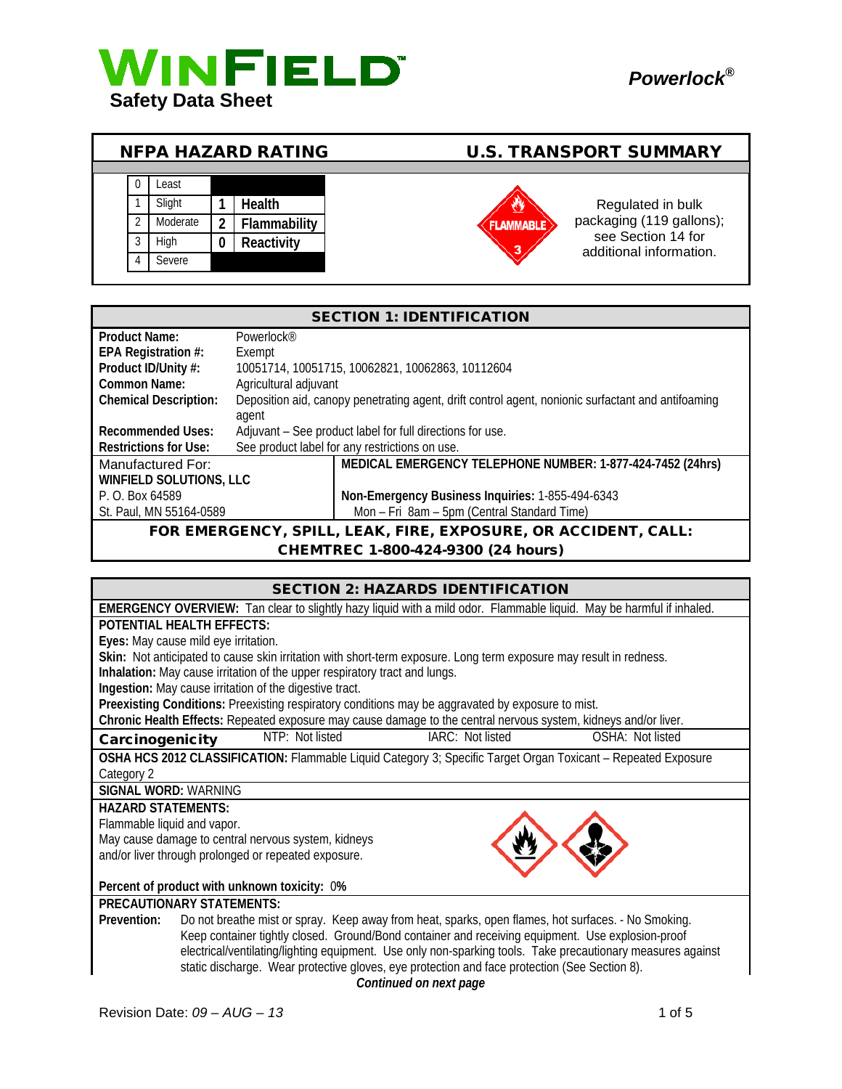

|  |          |   | <b>NFPA HAZARD RATING</b> | <b>U.S. TRANSPORT SUMMARY</b> |                                               |
|--|----------|---|---------------------------|-------------------------------|-----------------------------------------------|
|  |          |   |                           |                               |                                               |
|  | Least    |   |                           |                               |                                               |
|  | Slight   |   | <b>Health</b>             |                               | Regulated in bulk                             |
|  | Moderate |   | Flammability              | <b>FLAMMABLE</b>              | packaging (119 gallons);                      |
|  | High     | 0 | Reactivity                | 3                             | see Section 14 for<br>additional information. |
|  | Severe   |   |                           |                               |                                               |

| <b>SECTION 1: IDENTIFICATION</b>               |                                                                |                                                                                                    |  |  |
|------------------------------------------------|----------------------------------------------------------------|----------------------------------------------------------------------------------------------------|--|--|
| <b>Product Name:</b><br>Powerlock <sup>®</sup> |                                                                |                                                                                                    |  |  |
| EPA Registration #:                            | Exempt                                                         |                                                                                                    |  |  |
| Product ID/Unity #:                            |                                                                | 10051714, 10051715, 10062821, 10062863, 10112604                                                   |  |  |
| Common Name:<br>Agricultural adjuvant          |                                                                |                                                                                                    |  |  |
| <b>Chemical Description:</b>                   |                                                                | Deposition aid, canopy penetrating agent, drift control agent, nonionic surfactant and antifoaming |  |  |
|                                                | agent                                                          |                                                                                                    |  |  |
| <b>Recommended Uses:</b>                       |                                                                | Adjuvant - See product label for full directions for use.                                          |  |  |
| Restrictions for Use:                          |                                                                | See product label for any restrictions on use.                                                     |  |  |
| Manufactured For:                              |                                                                | MEDICAL EMERGENCY TELEPHONE NUMBER: 1-877-424-7452 (24hrs)                                         |  |  |
| <b>WINFIELD SOLUTIONS, LLC</b>                 |                                                                |                                                                                                    |  |  |
| P. O. Box 64589                                |                                                                | Non-Emergency Business Inquiries: 1-855-494-6343                                                   |  |  |
| St. Paul, MN 55164-0589                        |                                                                | Mon - Fri 8am - 5pm (Central Standard Time)                                                        |  |  |
|                                                | FOR EMERGENCY, SPILL, LEAK, FIRE, EXPOSURE, OR ACCIDENT, CALL: |                                                                                                    |  |  |

CHEMTREC 1-800-424-9300 (24 hours)

| <b>SECTION 2: HAZARDS IDENTIFICATION</b>                                    |  |
|-----------------------------------------------------------------------------|--|
| Tan close to slightly hazy liquid with a mild odor. Elammablo liquid May bo |  |

| <b>EMERGENCY OVERVIEW:</b> Tan clear to slightly hazy liquid with a mild odor. Flammable liquid. May be harmful if inhaled. |  |  |  |  |  |  |
|-----------------------------------------------------------------------------------------------------------------------------|--|--|--|--|--|--|
| <b>POTENTIAL HEALTH EFFECTS:</b>                                                                                            |  |  |  |  |  |  |
| Eyes: May cause mild eye irritation.                                                                                        |  |  |  |  |  |  |
| Skin: Not anticipated to cause skin irritation with short-term exposure. Long term exposure may result in redness.          |  |  |  |  |  |  |
| Inhalation: May cause irritation of the upper respiratory tract and lungs.                                                  |  |  |  |  |  |  |
| Ingestion: May cause irritation of the digestive tract.                                                                     |  |  |  |  |  |  |
| Preexisting Conditions: Preexisting respiratory conditions may be aggravated by exposure to mist.                           |  |  |  |  |  |  |
| Chronic Health Effects: Repeated exposure may cause damage to the central nervous system, kidneys and/or liver.             |  |  |  |  |  |  |
| NTP: Not listed<br>IARC: Not listed<br>OSHA: Not listed<br>Carcinogenicity                                                  |  |  |  |  |  |  |
| OSHA HCS 2012 CLASSIFICATION: Flammable Liquid Category 3; Specific Target Organ Toxicant - Repeated Exposure               |  |  |  |  |  |  |
| Category 2                                                                                                                  |  |  |  |  |  |  |
| <b>SIGNAL WORD: WARNING</b>                                                                                                 |  |  |  |  |  |  |
| <b>HAZARD STATEMENTS:</b>                                                                                                   |  |  |  |  |  |  |
| Flammable liquid and vapor.                                                                                                 |  |  |  |  |  |  |
| May cause damage to central nervous system, kidneys                                                                         |  |  |  |  |  |  |
| and/or liver through prolonged or repeated exposure.                                                                        |  |  |  |  |  |  |
|                                                                                                                             |  |  |  |  |  |  |
| Percent of product with unknown toxicity: 0%                                                                                |  |  |  |  |  |  |
| <b>PRECAUTIONARY STATEMENTS:</b>                                                                                            |  |  |  |  |  |  |
| Prevention:<br>Do not breathe mist or spray. Keep away from heat, sparks, open flames, hot surfaces. - No Smoking.          |  |  |  |  |  |  |
| Keep container tightly closed. Ground/Bond container and receiving equipment. Use explosion-proof                           |  |  |  |  |  |  |
| electrical/ventilating/lighting equipment. Use only non-sparking tools. Take precautionary measures against                 |  |  |  |  |  |  |
| static discharge. Wear protective gloves, eye protection and face protection (See Section 8).                               |  |  |  |  |  |  |
| Continued on next page                                                                                                      |  |  |  |  |  |  |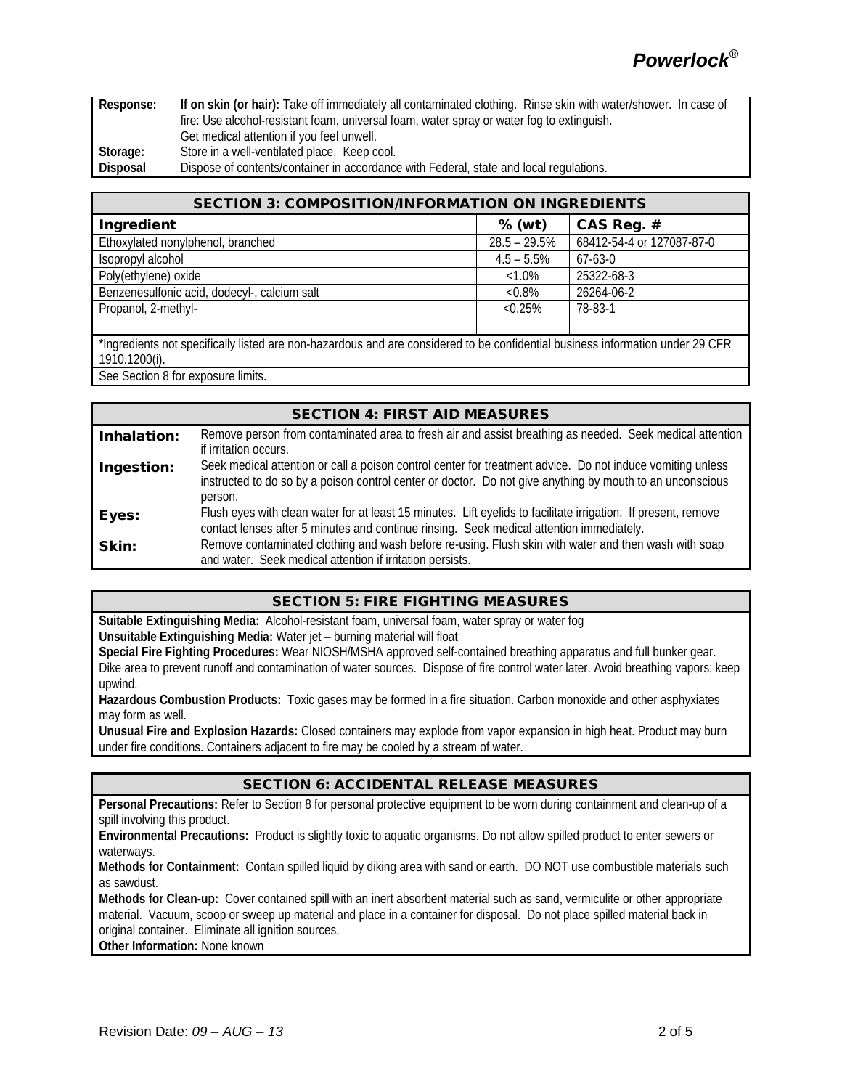**Response: If on skin (or hair):** Take off immediately all contaminated clothing. Rinse skin with water/shower. In case of fire: Use alcohol-resistant foam, universal foam, water spray or water fog to extinguish. Get medical attention if you feel unwell. **Storage:** Store in a well-ventilated place. Keep cool. **Disposal** Dispose of contents/container in accordance with Federal, state and local regulations.

| <b>SECTION 3: COMPOSITION/INFORMATION ON INGREDIENTS</b>                                                                       |                 |                           |  |  |
|--------------------------------------------------------------------------------------------------------------------------------|-----------------|---------------------------|--|--|
| Ingredient                                                                                                                     | $%$ (wt)        | CAS Reg. #                |  |  |
| Ethoxylated nonylphenol, branched                                                                                              | $28.5 - 29.5\%$ | 68412-54-4 or 127087-87-0 |  |  |
| Isopropyl alcohol                                                                                                              | $4.5 - 5.5\%$   | $67 - 63 - 0$             |  |  |
| Poly(ethylene) oxide                                                                                                           | $<1.0\%$        | 25322-68-3                |  |  |
| Benzenesulfonic acid, dodecyl-, calcium salt                                                                                   | $&0.8\%$        | 26264-06-2                |  |  |
| Propanol, 2-methyl-                                                                                                            | $< 0.25\%$      | 78-83-1                   |  |  |
|                                                                                                                                |                 |                           |  |  |
| *Ingredients not specifically listed are non-hazardous and are considered to be confidential business information under 29 CFR |                 |                           |  |  |
| 1910.1200(i).                                                                                                                  |                 |                           |  |  |
| See Section 8 for exposure limits.                                                                                             |                 |                           |  |  |

| <b>SECTION 4: FIRST AID MEASURES</b> |                                                                                                                                                                                                                                    |  |  |
|--------------------------------------|------------------------------------------------------------------------------------------------------------------------------------------------------------------------------------------------------------------------------------|--|--|
| Inhalation:                          | Remove person from contaminated area to fresh air and assist breathing as needed. Seek medical attention<br>if irritation occurs.                                                                                                  |  |  |
| Ingestion:                           | Seek medical attention or call a poison control center for treatment advice. Do not induce vomiting unless<br>instructed to do so by a poison control center or doctor. Do not give anything by mouth to an unconscious<br>person. |  |  |
| Eyes:                                | Flush eyes with clean water for at least 15 minutes. Lift eyelids to facilitate irrigation. If present, remove<br>contact lenses after 5 minutes and continue rinsing. Seek medical attention immediately.                         |  |  |
| Skin:                                | Remove contaminated clothing and wash before re-using. Flush skin with water and then wash with soap<br>and water. Seek medical attention if irritation persists.                                                                  |  |  |

## SECTION 5: FIRE FIGHTING MEASURES

**Suitable Extinguishing Media:** Alcohol-resistant foam, universal foam, water spray or water fog **Unsuitable Extinguishing Media:** Water jet – burning material will float

**Special Fire Fighting Procedures:** Wear NIOSH/MSHA approved self-contained breathing apparatus and full bunker gear. Dike area to prevent runoff and contamination of water sources. Dispose of fire control water later. Avoid breathing vapors; keep upwind.

**Hazardous Combustion Products:** Toxic gases may be formed in a fire situation. Carbon monoxide and other asphyxiates may form as well.

**Unusual Fire and Explosion Hazards:** Closed containers may explode from vapor expansion in high heat. Product may burn under fire conditions. Containers adjacent to fire may be cooled by a stream of water.

## SECTION 6: ACCIDENTAL RELEASE MEASURES

**Personal Precautions:** Refer to Section 8 for personal protective equipment to be worn during containment and clean-up of a spill involving this product.

**Environmental Precautions:** Product is slightly toxic to aquatic organisms. Do not allow spilled product to enter sewers or waterways.

**Methods for Containment:** Contain spilled liquid by diking area with sand or earth. DO NOT use combustible materials such as sawdust.

**Methods for Clean-up:** Cover contained spill with an inert absorbent material such as sand, vermiculite or other appropriate material. Vacuum, scoop or sweep up material and place in a container for disposal. Do not place spilled material back in original container. Eliminate all ignition sources.

**Other Information:** None known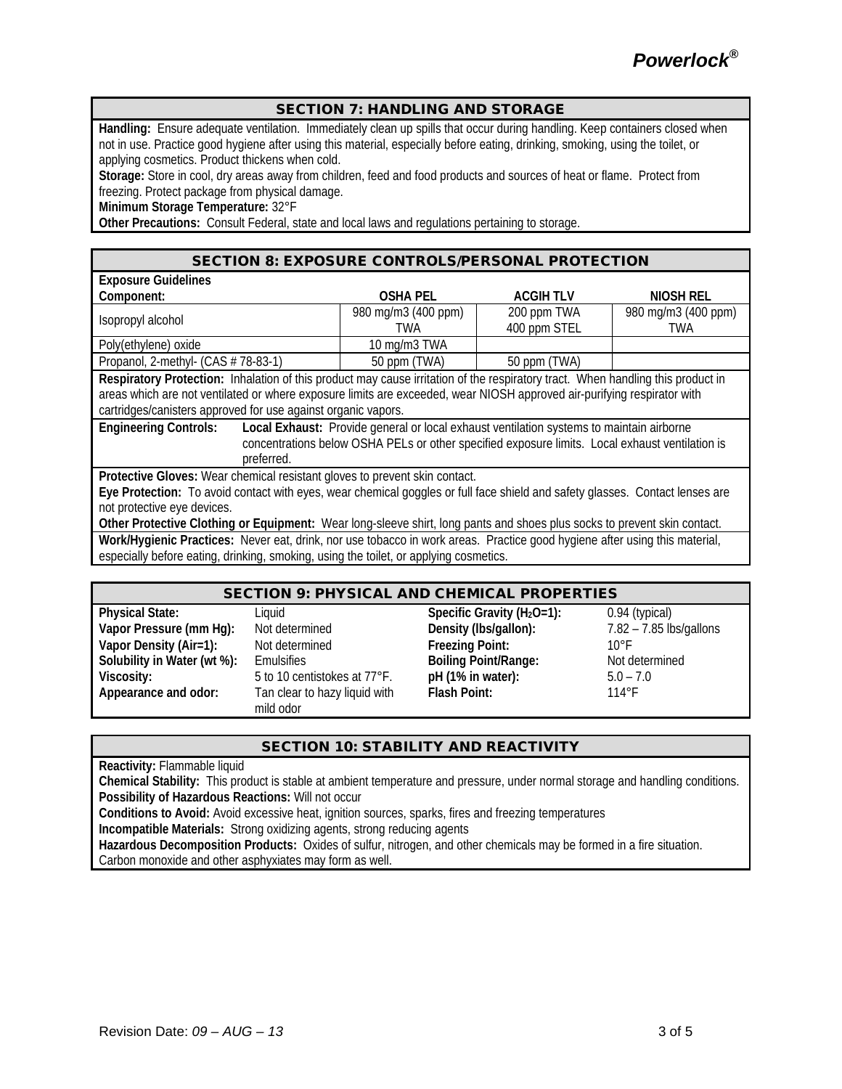### SECTION 7: HANDLING AND STORAGE

**Handling:** Ensure adequate ventilation. Immediately clean up spills that occur during handling. Keep containers closed when not in use. Practice good hygiene after using this material, especially before eating, drinking, smoking, using the toilet, or applying cosmetics. Product thickens when cold.

**Storage:** Store in cool, dry areas away from children, feed and food products and sources of heat or flame. Protect from freezing. Protect package from physical damage.

**Minimum Storage Temperature:** 32°F

**Other Precautions:** Consult Federal, state and local laws and regulations pertaining to storage.

#### SECTION 8: EXPOSURE CONTROLS/PERSONAL PROTECTION

| <b>Exposure Guidelines</b>                                                                                                      |                                                                                                 |                 |                     |  |
|---------------------------------------------------------------------------------------------------------------------------------|-------------------------------------------------------------------------------------------------|-----------------|---------------------|--|
| Component:                                                                                                                      | <b>OSHA PEL</b>                                                                                 | <b>ACGIHTLV</b> | NIOSH REL           |  |
| Isopropyl alcohol                                                                                                               | 980 mg/m3 (400 ppm)                                                                             | 200 ppm TWA     | 980 mg/m3 (400 ppm) |  |
|                                                                                                                                 | TWA                                                                                             | 400 ppm STEL    | <b>TWA</b>          |  |
| Poly(ethylene) oxide                                                                                                            | 10 mg/m3 TWA                                                                                    |                 |                     |  |
| Propanol, 2-methyl- (CAS # 78-83-1)                                                                                             | 50 ppm (TWA)                                                                                    | 50 ppm (TWA)    |                     |  |
| Respiratory Protection: Inhalation of this product may cause irritation of the respiratory tract. When handling this product in |                                                                                                 |                 |                     |  |
| areas which are not ventilated or where exposure limits are exceeded, wear NIOSH approved air-purifying respirator with         |                                                                                                 |                 |                     |  |
| cartridges/canisters approved for use against organic vapors.                                                                   |                                                                                                 |                 |                     |  |
| <b>Engineering Controls:</b>                                                                                                    | Local Exhaust: Provide general or local exhaust ventilation systems to maintain airborne        |                 |                     |  |
|                                                                                                                                 | concentrations below OSHA PELs or other specified exposure limits. Local exhaust ventilation is |                 |                     |  |
| preferred.                                                                                                                      |                                                                                                 |                 |                     |  |
| Protective Gloves: Wear chemical resistant gloves to prevent skin contact.                                                      |                                                                                                 |                 |                     |  |
| Eye Protection: To avoid contact with eyes, wear chemical goggles or full face shield and safety glasses. Contact lenses are    |                                                                                                 |                 |                     |  |
| not protective eye devices.                                                                                                     |                                                                                                 |                 |                     |  |
| Other Protective Clothing or Equipment: Wear long-sleeve shirt, long pants and shoes plus socks to prevent skin contact.        |                                                                                                 |                 |                     |  |
| Work/Hygienic Practices: Never eat, drink, nor use tobacco in work areas. Practice good hygiene after using this material,      |                                                                                                 |                 |                     |  |

especially before eating, drinking, smoking, using the toilet, or applying cosmetics.

#### SECTION 9: PHYSICAL AND CHEMICAL PROPERTIES

| <b>Physical State:</b>      | Liquid                        | Specific Gravity ( $H_2O=1$ ): | $0.94$ (typical)          |
|-----------------------------|-------------------------------|--------------------------------|---------------------------|
| Vapor Pressure (mm Hg):     | Not determined                | Density (Ibs/gallon):          | $7.82 - 7.85$ lbs/gallons |
| Vapor Density (Air=1):      | Not determined                | <b>Freezing Point:</b>         | $10^{\circ}$ F            |
| Solubility in Water (wt %): | Emulsifies                    | <b>Boiling Point/Range:</b>    | Not determined            |
| Viscosity:                  | 5 to 10 centistokes at 77°F.  | pH (1% in water):              | $5.0 - 7.0$               |
| Appearance and odor:        | Tan clear to hazy liquid with | Flash Point:                   | $114^{\circ}$ F           |
|                             | mild odor                     |                                |                           |

#### SECTION 10: STABILITY AND REACTIVITY

**Reactivity:** Flammable liquid

**Chemical Stability:** This product is stable at ambient temperature and pressure, under normal storage and handling conditions. **Possibility of Hazardous Reactions:** Will not occur

**Conditions to Avoid:** Avoid excessive heat, ignition sources, sparks, fires and freezing temperatures

**Incompatible Materials:** Strong oxidizing agents, strong reducing agents

**Hazardous Decomposition Products:** Oxides of sulfur, nitrogen, and other chemicals may be formed in a fire situation. Carbon monoxide and other asphyxiates may form as well.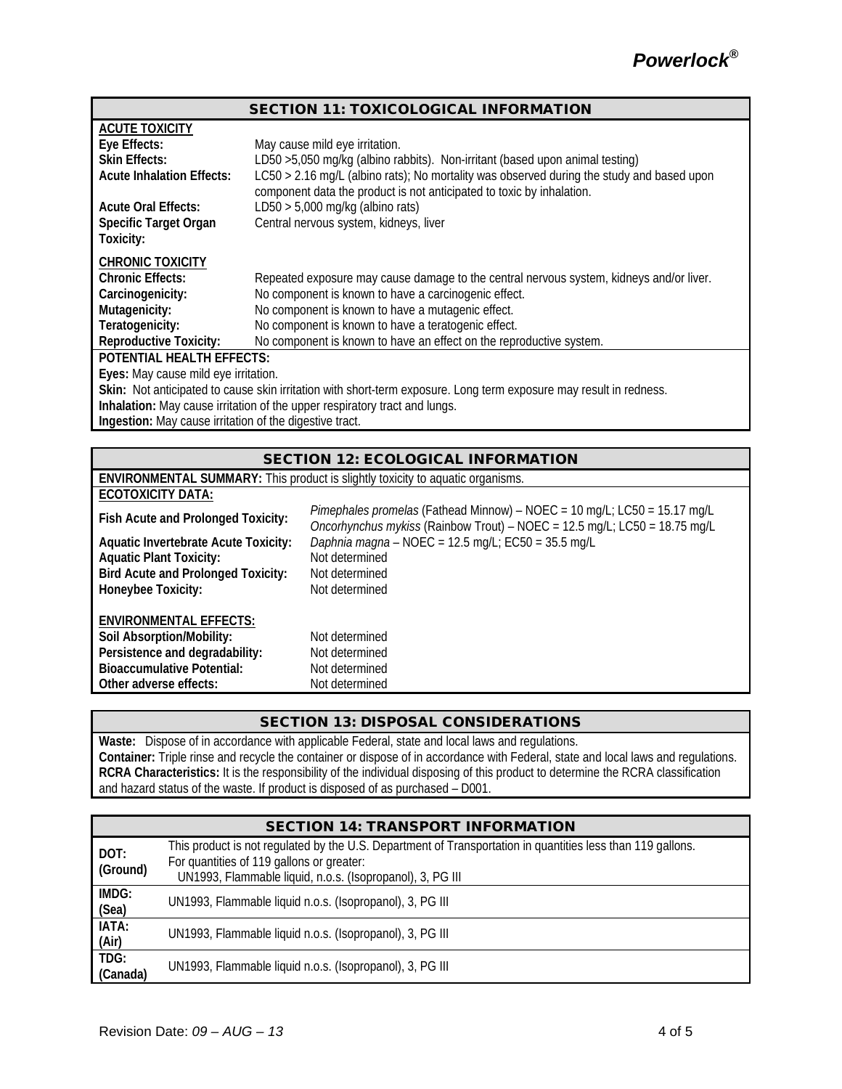| <b>SECTION 11: TOXICOLOGICAL INFORMATION</b>                                                                       |                                                                                                                                                                    |  |  |  |
|--------------------------------------------------------------------------------------------------------------------|--------------------------------------------------------------------------------------------------------------------------------------------------------------------|--|--|--|
| <b>ACUTE TOXICITY</b>                                                                                              |                                                                                                                                                                    |  |  |  |
| Eye Effects:                                                                                                       | May cause mild eye irritation.                                                                                                                                     |  |  |  |
| <b>Skin Effects:</b>                                                                                               | LD50 > 5,050 mg/kg (albino rabbits). Non-irritant (based upon animal testing)                                                                                      |  |  |  |
| <b>Acute Inhalation Effects:</b>                                                                                   | LC50 > 2.16 mg/L (albino rats); No mortality was observed during the study and based upon<br>component data the product is not anticipated to toxic by inhalation. |  |  |  |
| <b>Acute Oral Effects:</b>                                                                                         | LD50 > 5,000 mg/kg (albino rats)                                                                                                                                   |  |  |  |
| Specific Target Organ<br>Toxicity:                                                                                 | Central nervous system, kidneys, liver                                                                                                                             |  |  |  |
| <b>CHRONIC TOXICITY</b>                                                                                            |                                                                                                                                                                    |  |  |  |
| <b>Chronic Effects:</b>                                                                                            | Repeated exposure may cause damage to the central nervous system, kidneys and/or liver.                                                                            |  |  |  |
| Carcinogenicity:                                                                                                   | No component is known to have a carcinogenic effect.                                                                                                               |  |  |  |
| Mutagenicity:                                                                                                      | No component is known to have a mutagenic effect.                                                                                                                  |  |  |  |
| Teratogenicity:                                                                                                    | No component is known to have a teratogenic effect.                                                                                                                |  |  |  |
| <b>Reproductive Toxicity:</b>                                                                                      | No component is known to have an effect on the reproductive system.                                                                                                |  |  |  |
| <b>POTENTIAL HEALTH EFFECTS:</b>                                                                                   |                                                                                                                                                                    |  |  |  |
| Eyes: May cause mild eye irritation.                                                                               |                                                                                                                                                                    |  |  |  |
| Skin: Not anticipated to cause skin irritation with short-term exposure. Long term exposure may result in redness. |                                                                                                                                                                    |  |  |  |
| Inhalation: May cause irritation of the upper respiratory tract and lungs.                                         |                                                                                                                                                                    |  |  |  |
| Ingestion: May cause irritation of the digestive tract.                                                            |                                                                                                                                                                    |  |  |  |
|                                                                                                                    |                                                                                                                                                                    |  |  |  |

| <b>SECTION 12: ECOLOGICAL INFORMATION</b>                                                                                                                   |                                                                                                                                                       |  |  |  |
|-------------------------------------------------------------------------------------------------------------------------------------------------------------|-------------------------------------------------------------------------------------------------------------------------------------------------------|--|--|--|
|                                                                                                                                                             | <b>ENVIRONMENTAL SUMMARY:</b> This product is slightly toxicity to aquatic organisms.                                                                 |  |  |  |
| <b>ECOTOXICITY DATA:</b>                                                                                                                                    |                                                                                                                                                       |  |  |  |
| Fish Acute and Prolonged Toxicity:                                                                                                                          | Pimephales promelas (Fathead Minnow) – NOEC = 10 mg/L; LC50 = 15.17 mg/L<br>Oncorhynchus mykiss (Rainbow Trout) - NOEC = 12.5 mg/L; LC50 = 18.75 mg/L |  |  |  |
| <b>Aquatic Invertebrate Acute Toxicity:</b>                                                                                                                 | Daphnia magna - NOEC = 12.5 mg/L; EC50 = 35.5 mg/L                                                                                                    |  |  |  |
| <b>Aquatic Plant Toxicity:</b>                                                                                                                              | Not determined                                                                                                                                        |  |  |  |
| <b>Bird Acute and Prolonged Toxicity:</b>                                                                                                                   | Not determined                                                                                                                                        |  |  |  |
| Honeybee Toxicity:                                                                                                                                          | Not determined                                                                                                                                        |  |  |  |
| <b>ENVIRONMENTAL EFFECTS:</b><br>Soil Absorption/Mobility:<br>Persistence and degradability:<br><b>Bioaccumulative Potential:</b><br>Other adverse effects: | Not determined<br>Not determined<br>Not determined<br>Not determined                                                                                  |  |  |  |

## SECTION 13: DISPOSAL CONSIDERATIONS

**Waste:** Dispose of in accordance with applicable Federal, state and local laws and regulations. **Container:** Triple rinse and recycle the container or dispose of in accordance with Federal, state and local laws and regulations. **RCRA Characteristics:** It is the responsibility of the individual disposing of this product to determine the RCRA classification and hazard status of the waste. If product is disposed of as purchased – D001.

| <b>SECTION 14: TRANSPORT INFORMATION</b> |                                                                                                                                                                                                                       |  |  |
|------------------------------------------|-----------------------------------------------------------------------------------------------------------------------------------------------------------------------------------------------------------------------|--|--|
| DOT:<br>(Ground)                         | This product is not regulated by the U.S. Department of Transportation in quantities less than 119 gallons.<br>For quantities of 119 gallons or greater:<br>UN1993, Flammable liquid, n.o.s. (Isopropanol), 3, PG III |  |  |
| IMDG:                                    | UN1993, Flammable liquid n.o.s. (Isopropanol), 3, PG III                                                                                                                                                              |  |  |
| (Sea)                                    |                                                                                                                                                                                                                       |  |  |
| IATA:                                    | UN1993, Flammable liquid n.o.s. (Isopropanol), 3, PG III                                                                                                                                                              |  |  |
| (Air)<br>TDG:                            |                                                                                                                                                                                                                       |  |  |
| (Canada)                                 | UN1993, Flammable liquid n.o.s. (Isopropanol), 3, PG III                                                                                                                                                              |  |  |